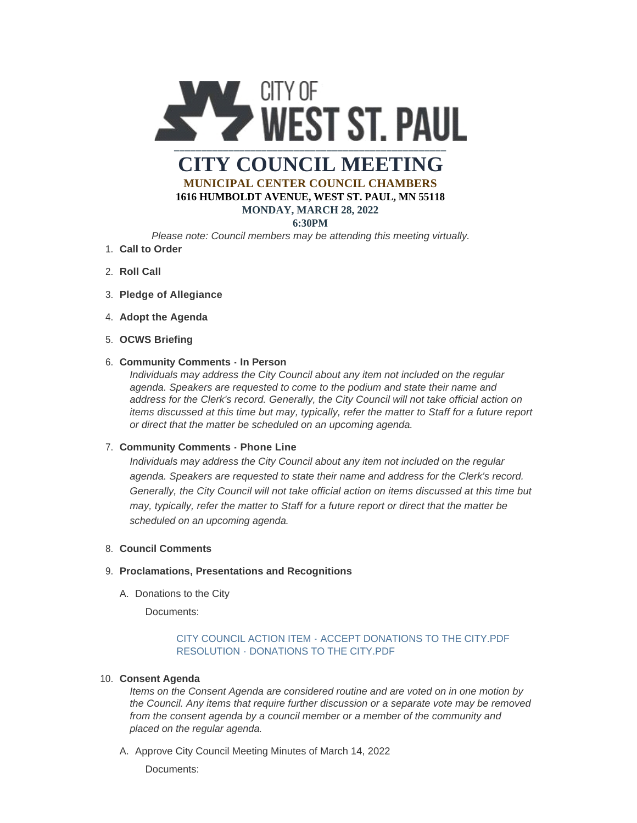

# **CITY COUNCIL MEETING MUNICIPAL CENTER COUNCIL CHAMBERS 1616 HUMBOLDT AVENUE, WEST ST. PAUL, MN 55118**

# **MONDAY, MARCH 28, 2022**

# **6:30PM**

*Please note: Council members may be attending this meeting virtually.*

- **Call to Order** 1.
- 2. **Roll Call**
- **Pledge of Allegiance** 3.
- 4. Adopt the Agenda
- **OCWS Briefing** 5.

# **Community Comments - In Person** 6.

*Individuals may address the City Council about any item not included on the regular agenda. Speakers are requested to come to the podium and state their name and address for the Clerk's record. Generally, the City Council will not take official action on items discussed at this time but may, typically, refer the matter to Staff for a future report or direct that the matter be scheduled on an upcoming agenda.*

### **Community Comments - Phone Line** 7.

*Individuals may address the City Council about any item not included on the regular agenda. Speakers are requested to state their name and address for the Clerk's record. Generally, the City Council will not take official action on items discussed at this time but may, typically, refer the matter to Staff for a future report or direct that the matter be scheduled on an upcoming agenda.*

### **Council Comments** 8.

## **Proclamations, Presentations and Recognitions** 9.

A. Donations to the City

Documents:

# [CITY COUNCIL ACTION ITEM - ACCEPT DONATIONS TO THE CITY.PDF](https://www.wspmn.gov/AgendaCenter/ViewFile/Item/12684?fileID=19689) RESOLUTION - DONATIONS TO THE CITY PDF

### **Consent Agenda** 10.

*Items on the Consent Agenda are considered routine and are voted on in one motion by the Council. Any items that require further discussion or a separate vote may be removed from the consent agenda by a council member or a member of the community and placed on the regular agenda.*

A. Approve City Council Meeting Minutes of March 14, 2022 Documents: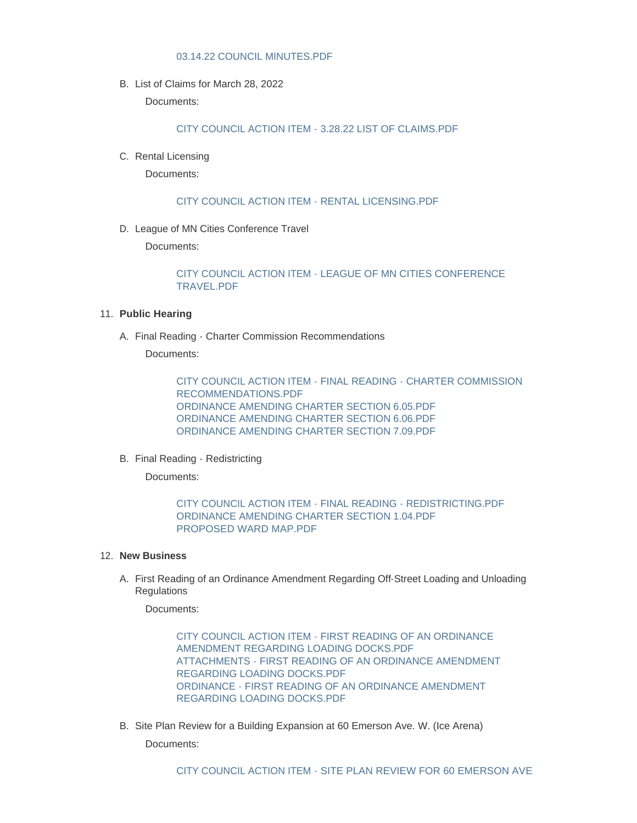#### [03.14.22 COUNCIL MINUTES.PDF](https://www.wspmn.gov/AgendaCenter/ViewFile/Item/12737?fileID=19700)

B. List of Claims for March 28, 2022

Documents:

[CITY COUNCIL ACTION ITEM - 3.28.22 LIST OF CLAIMS.PDF](https://www.wspmn.gov/AgendaCenter/ViewFile/Item/12743?fileID=19718)

C. Rental Licensing

Documents:

[CITY COUNCIL ACTION ITEM - RENTAL LICENSING.PDF](https://www.wspmn.gov/AgendaCenter/ViewFile/Item/12734?fileID=19699)

D. League of MN Cities Conference Travel

Documents:

[CITY COUNCIL ACTION ITEM - LEAGUE OF MN CITIES CONFERENCE](https://www.wspmn.gov/AgendaCenter/ViewFile/Item/12703?fileID=19717)  TRAVEL.PDF

#### **Public Hearing** 11.

A. Final Reading - Charter Commission Recommendations

Documents:

[CITY COUNCIL ACTION ITEM - FINAL READING - CHARTER COMMISSION](https://www.wspmn.gov/AgendaCenter/ViewFile/Item/12735?fileID=19715)  RECOMMENDATIONS.PDF [ORDINANCE AMENDING CHARTER SECTION 6.05.PDF](https://www.wspmn.gov/AgendaCenter/ViewFile/Item/12735?fileID=19706) [ORDINANCE AMENDING CHARTER SECTION 6.06.PDF](https://www.wspmn.gov/AgendaCenter/ViewFile/Item/12735?fileID=19707) [ORDINANCE AMENDING CHARTER SECTION 7.09.PDF](https://www.wspmn.gov/AgendaCenter/ViewFile/Item/12735?fileID=19716)

B. Final Reading - Redistricting

Documents:

[CITY COUNCIL ACTION ITEM - FINAL READING - REDISTRICTING.PDF](https://www.wspmn.gov/AgendaCenter/ViewFile/Item/12736?fileID=19710) [ORDINANCE AMENDING CHARTER SECTION 1.04.PDF](https://www.wspmn.gov/AgendaCenter/ViewFile/Item/12736?fileID=19709) [PROPOSED WARD MAP.PDF](https://www.wspmn.gov/AgendaCenter/ViewFile/Item/12736?fileID=19711)

#### **New Business** 12.

A. First Reading of an Ordinance Amendment Regarding Off-Street Loading and Unloading **Regulations** 

Documents:

[CITY COUNCIL ACTION ITEM - FIRST READING OF AN ORDINANCE](https://www.wspmn.gov/AgendaCenter/ViewFile/Item/12686?fileID=19692)  AMENDMENT REGARDING LOADING DOCKS.PDF [ATTACHMENTS - FIRST READING OF AN ORDINANCE AMENDMENT](https://www.wspmn.gov/AgendaCenter/ViewFile/Item/12686?fileID=19691)  REGARDING LOADING DOCKS.PDF [ORDINANCE - FIRST READING OF AN ORDINANCE AMENDMENT](https://www.wspmn.gov/AgendaCenter/ViewFile/Item/12686?fileID=19693)  REGARDING LOADING DOCKS.PDF

B. Site Plan Review for a Building Expansion at 60 Emerson Ave. W. (Ice Arena)

Documents: